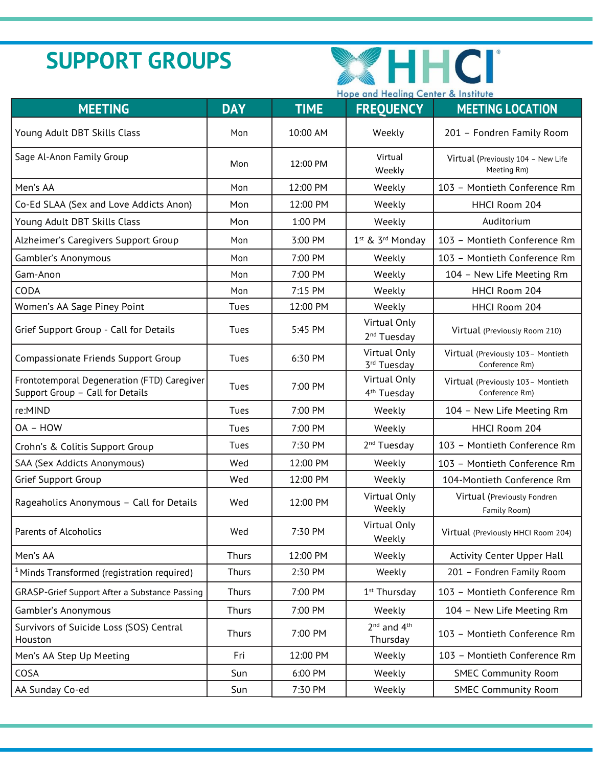# **SUPPORT GROUPS**



|                                                                                 | Hope and Healing Center & Institute |             |                                          |                                                      |
|---------------------------------------------------------------------------------|-------------------------------------|-------------|------------------------------------------|------------------------------------------------------|
| <b>MEETING</b>                                                                  | <b>DAY</b>                          | <b>TIME</b> | <b>FREQUENCY</b>                         | <b>MEETING LOCATION</b>                              |
| Young Adult DBT Skills Class                                                    | Mon                                 | 10:00 AM    | Weekly                                   | 201 - Fondren Family Room                            |
| Sage Al-Anon Family Group                                                       | Mon                                 | 12:00 PM    | Virtual<br>Weekly                        | Virtual (Previously 104 - New Life<br>Meeting Rm)    |
| Men's AA                                                                        | Mon                                 | 12:00 PM    | Weekly                                   | 103 - Montieth Conference Rm                         |
| Co-Ed SLAA (Sex and Love Addicts Anon)                                          | Mon                                 | 12:00 PM    | Weekly                                   | HHCI Room 204                                        |
| Young Adult DBT Skills Class                                                    | Mon                                 | 1:00 PM     | Weekly                                   | Auditorium                                           |
| Alzheimer's Caregivers Support Group                                            | Mon                                 | 3:00 PM     | 1 <sup>st</sup> & 3 <sup>rd</sup> Monday | 103 - Montieth Conference Rm                         |
| Gambler's Anonymous                                                             | Mon                                 | 7:00 PM     | Weekly                                   | 103 - Montieth Conference Rm                         |
| Gam-Anon                                                                        | Mon                                 | 7:00 PM     | Weekly                                   | 104 - New Life Meeting Rm                            |
| CODA                                                                            | Mon                                 | 7:15 PM     | Weekly                                   | HHCI Room 204                                        |
| Women's AA Sage Piney Point                                                     | Tues                                | 12:00 PM    | Weekly                                   | HHCI Room 204                                        |
| Grief Support Group - Call for Details                                          | Tues                                | 5:45 PM     | Virtual Only<br>2 <sup>nd</sup> Tuesday  | Virtual (Previously Room 210)                        |
| Compassionate Friends Support Group                                             | Tues                                | 6:30 PM     | Virtual Only<br>3rd Tuesday              | Virtual (Previously 103 - Montieth<br>Conference Rm) |
| Frontotemporal Degeneration (FTD) Caregiver<br>Support Group - Call for Details | Tues                                | 7:00 PM     | Virtual Only<br>4 <sup>th</sup> Tuesday  | Virtual (Previously 103 - Montieth<br>Conference Rm) |
| re:MIND                                                                         | Tues                                | 7:00 PM     | Weekly                                   | 104 - New Life Meeting Rm                            |
| OA - HOW                                                                        | Tues                                | 7:00 PM     | Weekly                                   | HHCI Room 204                                        |
| Crohn's & Colitis Support Group                                                 | Tues                                | 7:30 PM     | 2 <sup>nd</sup> Tuesday                  | 103 - Montieth Conference Rm                         |
| SAA (Sex Addicts Anonymous)                                                     | Wed                                 | 12:00 PM    | Weekly                                   | 103 - Montieth Conference Rm                         |
| <b>Grief Support Group</b>                                                      | Wed                                 | 12:00 PM    | Weekly                                   | 104-Montieth Conference Rm                           |
| Rageaholics Anonymous - Call for Details                                        | Wed                                 | 12:00 PM    | Virtual Only<br>Weekly                   | Virtual (Previously Fondren<br>Family Room)          |
| Parents of Alcoholics                                                           | Wed                                 | 7:30 PM     | Virtual Only<br>Weekly                   | Virtual (Previously HHCI Room 204)                   |
| Men's AA                                                                        | <b>Thurs</b>                        | 12:00 PM    | Weekly                                   | Activity Center Upper Hall                           |
| <sup>1</sup> Minds Transformed (registration required)                          | Thurs                               | 2:30 PM     | Weekly                                   | 201 - Fondren Family Room                            |
| GRASP-Grief Support After a Substance Passing                                   | Thurs                               | 7:00 PM     | 1 <sup>st</sup> Thursday                 | 103 - Montieth Conference Rm                         |
| Gambler's Anonymous                                                             | Thurs                               | 7:00 PM     | Weekly                                   | 104 - New Life Meeting Rm                            |
| Survivors of Suicide Loss (SOS) Central<br>Houston                              | Thurs                               | 7:00 PM     | $2^{nd}$ and $4^{th}$<br>Thursday        | 103 - Montieth Conference Rm                         |
| Men's AA Step Up Meeting                                                        | Fri                                 | 12:00 PM    | Weekly                                   | 103 - Montieth Conference Rm                         |
| COSA                                                                            | Sun                                 | 6:00 PM     | Weekly                                   | <b>SMEC Community Room</b>                           |
| AA Sunday Co-ed                                                                 | Sun                                 | 7:30 PM     | Weekly                                   | <b>SMEC Community Room</b>                           |